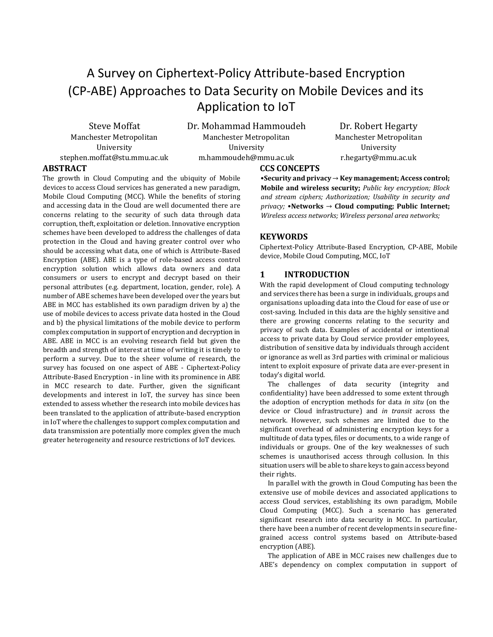# A Survey on Ciphertext-Policy Attribute-based Encryption (CP-ABE) Approaches to Data Security on Mobile Devices and its Application to IoT

Steve Moffat Dr. Mohammad Hammoudeh Dr. Robert Hegarty Manchester Metropolitan Manchester Metropolitan Manchester Metropolitan University University University stephen.moffat@stu.mmu.ac.uk m.hammoudeh@mmu.ac.uk r.hegarty@mmu.ac.uk

#### **ABSTRACT**

The growth in Cloud Computing and the ubiquity of Mobile devices to access Cloud services has generated a new paradigm, Mobile Cloud Computing (MCC). While the benefits of storing and accessing data in the Cloud are well documented there are concerns relating to the security of such data through data corruption, theft, exploitation or deletion. Innovative encryption schemes have been developed to address the challenges of data protection in the Cloud and having greater control over who should be accessing what data, one of which is Attribute-Based Encryption (ABE). ABE is a type of role-based access control encryption solution which allows data owners and data consumers or users to encrypt and decrypt based on their personal attributes (e.g. department, location, gender, role). A number of ABE schemes have been developed over the years but ABE in MCC has established its own paradigm driven by a) the use of mobile devices to access private data hosted in the Cloud and b) the physical limitations of the mobile device to perform complex computation in support of encryption and decryption in ABE. ABE in MCC is an evolving research field but given the breadth and strength of interest at time of writing it is timely to perform a survey. Due to the sheer volume of research, the survey has focused on one aspect of ABE - Ciphertext-Policy Attribute-Based Encryption - in line with its prominence in ABE in MCC research to date. Further, given the significant developments and interest in IoT, the survey has since been extended to assess whether the research into mobile devices has been translated to the application of attribute-based encryption in IoT where the challenges to support complex computation and data transmission are potentially more complex given the much greater heterogeneity and resource restrictions of IoT devices.

•**Security and privacy** → **Key management; Access control; Mobile and wireless security;** *Public key encryption; Block and stream ciphers; Authorization; Usability in security and privacy;* •**Networks** → **Cloud computing; Public Internet;**  *Wireless access networks; Wireless personal area networks;*

#### **KEYWORDS**

**CCS CONCEPTS**

Ciphertext-Policy Attribute-Based Encryption, CP-ABE, Mobile device, Mobile Cloud Computing, MCC, IoT

## **1 INTRODUCTION**

With the rapid development of Cloud computing technology and services there has been a surge in individuals, groups and organisations uploading data into the Cloud for ease of use or cost-saving. Included in this data are the highly sensitive and there are growing concerns relating to the security and privacy of such data. Examples of accidental or intentional access to private data by Cloud service provider employees, distribution of sensitive data by individuals through accident or ignorance as well as 3rd parties with criminal or malicious intent to exploit exposure of private data are ever-present in today's digital world.

The challenges of data security (integrity and confidentiality) have been addressed to some extent through the adoption of encryption methods for data *in situ* (on the device or Cloud infrastructure) and *in transit* across the network. However, such schemes are limited due to the significant overhead of administering encryption keys for a multitude of data types, files or documents, to a wide range of individuals or groups. One of the key weaknesses of such schemes is unauthorised access through collusion. In this situation users will be able to share keys to gain access beyond their rights.

In parallel with the growth in Cloud Computing has been the extensive use of mobile devices and associated applications to access Cloud services, establishing its own paradigm, Mobile Cloud Computing (MCC). Such a scenario has generated significant research into data security in MCC. In particular, there have been a number of recent developments in secure finegrained access control systems based on Attribute-based encryption (ABE).

The application of ABE in MCC raises new challenges due to ABE's dependency on complex computation in support of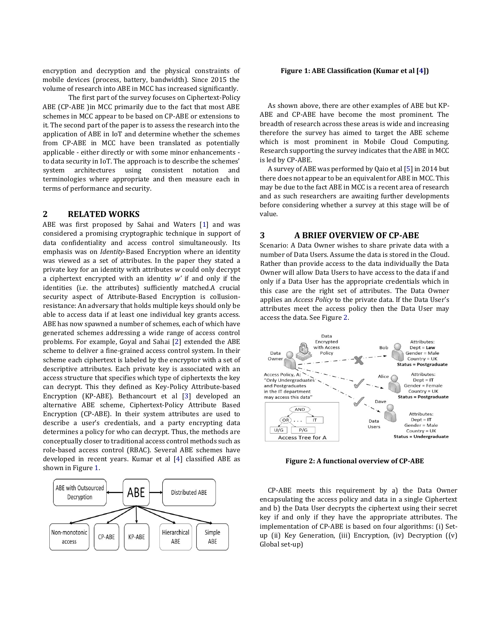encryption and decryption and the physical constraints of mobile devices (process, battery, bandwidth). Since 2015 the volume of research into ABE in MCC has increased significantly.

The first part of the survey focuses on Ciphertext-Policy ABE (CP-ABE )in MCC primarily due to the fact that most ABE schemes in MCC appear to be based on CP-ABE or extensions to it. The second part of the paper is to assess the research into the application of ABE in IoT and determine whether the schemes from CP-ABE in MCC have been translated as potentially applicable - either directly or with some minor enhancements to data security in IoT. The approach is to describe the schemes' system architectures using consistent notation and terminologies where appropriate and then measure each in terms of performance and security.

#### **2 RELATED WORKS**

ABE was first proposed by Sahai and Waters [1] and was considered a promising cryptographic technique in support of data confidentiality and access control simultaneously. Its emphasis was on *Identity*-Based Encryption where an identity was viewed as a set of attributes. In the paper they stated a private key for an identity with attributes *w* could only decrypt a ciphertext encrypted with an identity *w'* if and only if the identities (i.e. the attributes) sufficiently matched.A crucial security aspect of Attribute-Based Encryption is collusionresistance: An adversary that holds multiple keys should only be able to access data if at least one individual key grants access. ABE has now spawned a number of schemes, each of which have generated schemes addressing a wide range of access control problems. For example, Goyal and Sahai [2] extended the ABE scheme to deliver a fine-grained access control system. In their scheme each ciphertext is labeled by the encryptor with a set of descriptive attributes. Each private key is associated with an access structure that specifies which type of ciphertexts the key can decrypt. This they defined as Key-Policy Attribute-based Encryption (KP-ABE). Bethancourt et al [3] developed an alternative ABE scheme, Ciphertext-Policy Attribute Based Encryption (CP-ABE). In their system attributes are used to describe a user's credentials, and a party encrypting data determines a policy for who can decrypt. Thus, the methods are conceptually closer to traditional access control methods such as role-based access control (RBAC). Several ABE schemes have developed in recent years. Kumar et al [4] classified ABE as shown in Figure 1.



#### **Figure 1: ABE Classification (Kumar et al [4])**

As shown above, there are other examples of ABE but KP-ABE and CP-ABE have become the most prominent. The breadth of research across these areas is wide and increasing therefore the survey has aimed to target the ABE scheme which is most prominent in Mobile Cloud Computing. Research supporting the survey indicates that the ABE in MCC is led by CP-ABE.

A survey of ABE was performed by Qaio et al [5] in 2014 but there does not appear to be an equivalent for ABE in MCC. This may be due to the fact ABE in MCC is a recent area of research and as such researchers are awaiting further developments before considering whether a survey at this stage will be of value.

#### **3 A BRIEF OVERVIEW OF CP-ABE**

Scenario: A Data Owner wishes to share private data with a number of Data Users. Assume the data is stored in the Cloud. Rather than provide access to the data individually the Data Owner will allow Data Users to have access to the data if and only if a Data User has the appropriate credentials which in this case are the right set of attributes. The Data Owner applies an *Access Policy* to the private data. If the Data User's attributes meet the access policy then the Data User may access the data. See Figure 2.



**Figure 2: A functional overview of CP-ABE**

CP-ABE meets this requirement by a) the Data Owner encapsulating the access policy and data in a single Ciphertext and b) the Data User decrypts the ciphertext using their secret key if and only if they have the appropriate attributes. The implementation of CP-ABE is based on four algorithms: (i) Setup (ii) Key Generation, (iii) Encryption, (iv) Decryption ((v) Global set-up)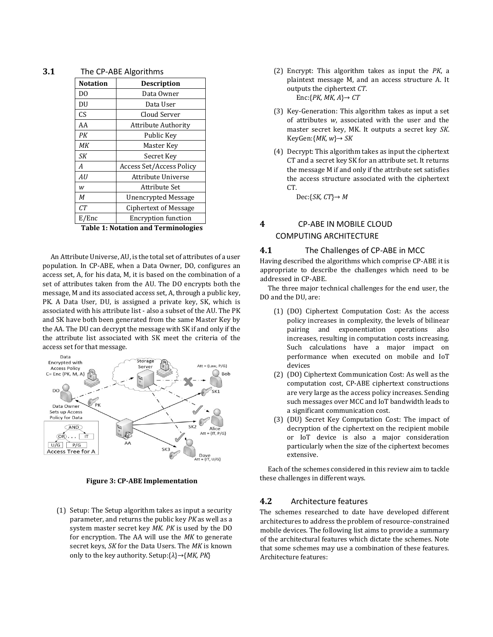| <b>Notation</b>                            | <b>Description</b>              |
|--------------------------------------------|---------------------------------|
| DΟ                                         | Data Owner                      |
| DU                                         | Data User                       |
| CS                                         | Cloud Server                    |
| AA                                         | <b>Attribute Authority</b>      |
| PK                                         | Public Key                      |
| ΜK                                         | Master Key                      |
| SК                                         | Secret Key                      |
| А                                          | <b>Access Set/Access Policy</b> |
| AU                                         | Attribute Universe              |
| w                                          | Attribute Set                   |
| М                                          | Unencrypted Message             |
| CT                                         | Ciphertext of Message           |
| E/Enc                                      | <b>Encryption function</b>      |
| <b>Table 1: Notation and Terminologies</b> |                                 |

An Attribute Universe, AU, is the total set of attributes of a user population. In CP-ABE, when a Data Owner, DO, configures an access set, A, for his data, M, it is based on the combination of a set of attributes taken from the AU. The DO encrypts both the message, M and its associated access set, A, through a public key, PK. A Data User, DU, is assigned a private key, SK, which is associated with his attribute list - also a subset of the AU. The PK and SK have both been generated from the same Master Key by the AA. The DU can decrypt the message with SK if and only if the the attribute list associated with SK meet the criteria of the access set for that message.



**Figure 3: CP-ABE Implementation**

(1) Setup: The Setup algorithm takes as input a security parameter, and returns the public key *PK* as well as a system master secret key *MK*. *PK* is used by the DO for encryption. The AA will use the *MK* to generate secret keys, *SK* for the Data Users. The *MK* is known only to the key authority. Setup:{*λ*}→{*MK, PK*}

- (2) Encrypt: This algorithm takes as input the *PK*, a plaintext message M, and an access structure A. It outputs the ciphertext *CT*.  $Enc:\{PK, MK, A\} \rightarrow CT$
- (3) Key-Generation: This algorithm takes as input a set of attributes *w*, associated with the user and the master secret key, MK. It outputs a secret key *SK*. KeyGen:{*MK, w*}→ *SK*
- (4) Decrypt: This algorithm takes as input the ciphertext CT and a secret key SK for an attribute set. It returns the message M if and only if the attribute set satisfies the access structure associated with the ciphertext CT.

Dec:{*SK, CT*}→ *M*

# **4** CP-ABE IN MOBILE CLOUD COMPUTING ARCHITECTURE

#### **4.1** The Challenges of CP-ABE in MCC

Having described the algorithms which comprise CP-ABE it is appropriate to describe the challenges which need to be addressed in CP-ABE.

The three major technical challenges for the end user, the DO and the DU, are:

- (1) (DO) Ciphertext Computation Cost: As the access policy increases in complexity, the levels of bilinear pairing and exponentiation operations also increases, resulting in computation costs increasing. Such calculations have a major impact on performance when executed on mobile and IoT devices
- (2) (DO) Ciphertext Communication Cost: As well as the computation cost, CP-ABE ciphertext constructions are very large as the access policy increases. Sending such messages over MCC and IoT bandwidth leads to a significant communication cost.
- (3) (DU) Secret Key Computation Cost: The impact of decryption of the ciphertext on the recipient mobile or IoT device is also a major consideration particularly when the size of the ciphertext becomes extensive.

Each of the schemes considered in this review aim to tackle these challenges in different ways.

## **4.2** Architecture features

The schemes researched to date have developed different architectures to address the problem of resource-constrained mobile devices. The following list aims to provide a summary of the architectural features which dictate the schemes. Note that some schemes may use a combination of these features. Architecture features:

## **3.1** The CP-ABE Algorithms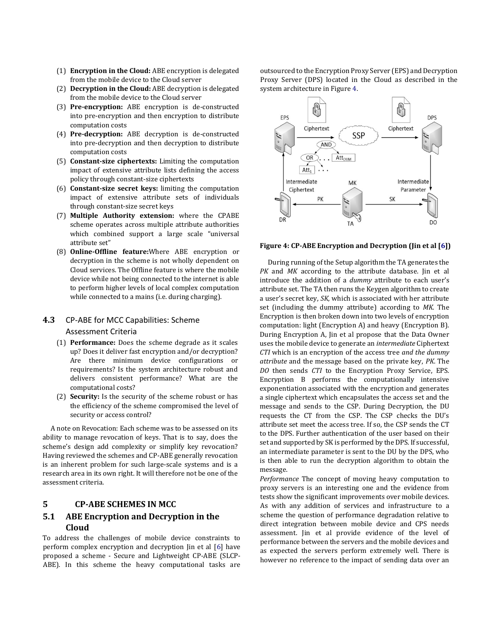- (1) **Encryption in the Cloud:** ABE encryption is delegated from the mobile device to the Cloud server
- (2) **Decryption in the Cloud:** ABE decryption is delegated from the mobile device to the Cloud server
- (3) **Pre-encryption:** ABE encryption is de-constructed into pre-encryption and then encryption to distribute computation costs
- (4) **Pre-decryption:** ABE decryption is de-constructed into pre-decryption and then decryption to distribute computation costs
- (5) **Constant-size ciphertexts:** Limiting the computation impact of extensive attribute lists defining the access policy through constant-size ciphertexts
- (6) **Constant-size secret keys:** limiting the computation impact of extensive attribute sets of individuals through constant-size secret keys
- (7) **Multiple Authority extension:** where the CPABE scheme operates across multiple attribute authorities which combined support a large scale "universal attribute set"
- (8) **Online-Offline feature:**Where ABE encryption or decryption in the scheme is not wholly dependent on Cloud services. The Offline feature is where the mobile device while not being connected to the internet is able to perform higher levels of local complex computation while connected to a mains (i.e. during charging).

## **4.3** CP-ABE for MCC Capabilities: Scheme

Assessment Criteria

- (1) **Performance:** Does the scheme degrade as it scales up? Does it deliver fast encryption and/or decryption? Are there minimum device configurations or requirements? Is the system architecture robust and delivers consistent performance? What are the computational costs?
- (2) **Security:** Is the security of the scheme robust or has the efficiency of the scheme compromised the level of security or access control?

A note on Revocation: Each scheme was to be assessed on its ability to manage revocation of keys. That is to say, does the scheme's design add complexity or simplify key revocation? Having reviewed the schemes and CP-ABE generally revocation is an inherent problem for such large-scale systems and is a research area in its own right. It will therefore not be one of the assessment criteria.

# **5 CP-ABE SCHEMES IN MCC**

## **5.1 ABE Encryption and Decryption in the Cloud**

To address the challenges of mobile device constraints to perform complex encryption and decryption Jin et al [6] have proposed a scheme - Secure and Lightweight CP-ABE (SLCP-ABE). In this scheme the heavy computational tasks are outsourced to the Encryption Proxy Server (EPS) and Decryption Proxy Server (DPS) located in the Cloud as described in the system architecture in Figure 4.



#### **Figure 4: CP-ABE Encryption and Decryption (Jin et al [6])**

During running of the Setup algorithm the TA generates the *PK* and *MK* according to the attribute database. Jin et al introduce the addition of a *dummy* attribute to each user's attribute set. The TA then runs the Keygen algorithm to create a user's secret key, *SK*, which is associated with her attribute set (including the dummy attribute) according to *MK*. The Encryption is then broken down into two levels of encryption computation: light (Encryption A) and heavy (Encryption B). During Encryption A, Jin et al propose that the Data Owner uses the mobile device to generate an *intermediate* Ciphertext *CTI* which is an encryption of the access tree *and the dummy attribute* and the message based on the private key, *PK*. The *DO* then sends *CTI* to the Encryption Proxy Service, EPS. Encryption B performs the computationally intensive exponentiation associated with the encryption and generates a single ciphertext which encapsulates the access set and the message and sends to the CSP. During Decryption, the DU requests the CT from the CSP. The CSP checks the DU's attribute set meet the access tree. If so, the CSP sends the CT to the DPS. Further authentication of the user based on their set and supported by SK is performed by the DPS. If successful, an intermediate parameter is sent to the DU by the DPS, who is then able to run the decryption algorithm to obtain the message.

*Performance* The concept of moving heavy computation to proxy servers is an interesting one and the evidence from tests show the significant improvements over mobile devices. As with any addition of services and infrastructure to a scheme the question of performance degradation relative to direct integration between mobile device and CPS needs assessment. Jin et al provide evidence of the level of performance between the servers and the mobile devices and as expected the servers perform extremely well. There is however no reference to the impact of sending data over an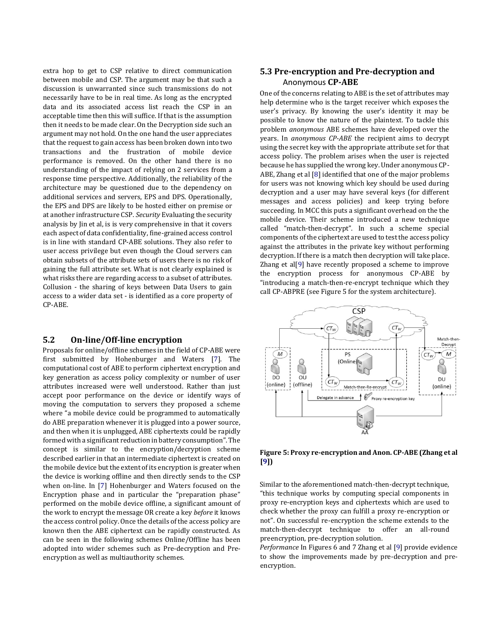extra hop to get to CSP relative to direct communication between mobile and CSP. The argument may be that such a discussion is unwarranted since such transmissions do not necessarily have to be in real time. As long as the encrypted data and its associated access list reach the CSP in an acceptable time then this will suffice. If that is the assumption then it needs to be made clear. On the Decryption side such an argument may not hold. On the one hand the user appreciates that the request to gain access has been broken down into two transactions and the frustration of mobile device performance is removed. On the other hand there is no understanding of the impact of relying on 2 services from a response time perspective. Additionally, the reliability of the architecture may be questioned due to the dependency on additional services and servers, EPS and DPS. Operationally, the EPS and DPS are likely to be hosted either on premise or at another infrastructure CSP. *Security* Evaluating the security analysis by Jin et al, is is very comprehensive in that it covers each aspect of data confidentiality, fine-grained access control is in line with standard CP-ABE solutions. They also refer to user access privilege but even though the Cloud servers can obtain subsets of the attribute sets of users there is no risk of gaining the full attribute set. What is not clearly explained is what risks there are regarding access to a subset of attributes. Collusion - the sharing of keys between Data Users to gain access to a wider data set - is identified as a core property of CP-ABE.

### **5.2 On-line/Off-line encryption**

Proposals for online/offline schemes in the field of CP-ABE were first submitted by Hohenburger and Waters [7]. The computational cost of ABE to perform ciphertext encryption and key generation as access policy complexity or number of user attributes increased were well understood. Rather than just accept poor performance on the device or identify ways of moving the computation to servers they proposed a scheme where "a mobile device could be programmed to automatically do ABE preparation whenever it is plugged into a power source, and then when it is unplugged, ABE ciphertexts could be rapidly formed with a significant reduction in battery consumption". The concept is similar to the encryption/decryption scheme described earlier in that an intermediate ciphertext is created on the mobile device but the extent of its encryption is greater when the device is working offline and then directly sends to the CSP when on-line. In [7] Hohenburger and Waters focused on the Encryption phase and in particular the "preparation phase" performed on the mobile device offline, a significant amount of the work to encrypt the message OR create a key *before* it knows the access control policy. Once the details of the access policy are known then the ABE ciphertext can be rapidly constructed. As can be seen in the following schemes Online/Offline has been adopted into wider schemes such as Pre-decryption and Preencryption as well as multiauthority schemes.

# **5.3 Pre-encryption and Pre-decryption and**  Anonymous **CP-ABE**

One of the concerns relating to ABE is the set of attributes may help determine who is the target receiver which exposes the user's privacy. By knowing the user's identity it may be possible to know the nature of the plaintext. To tackle this problem *anonymous* ABE schemes have developed over the years. In *anonymous CP-ABE* the recipient aims to decrypt using the secret key with the appropriate attribute set for that access policy. The problem arises when the user is rejected because he has supplied the wrong key. Under anonymous CP-ABE, Zhang et al [8] identified that one of the major problems for users was not knowing which key should be used during decryption and a user may have several keys (for different messages and access policies) and keep trying before succeeding. In MCC this puts a significant overhead on the the mobile device. Their scheme introduced a new technique called "match-then-decrypt". In such a scheme special components of the ciphertext are used to test the access policy against the attributes in the private key without performing decryption. If there is a match then decryption will take place. Zhang et al[9] have recently proposed a scheme to improve the encryption process for anonymous CP-ABE by "introducing a match-then-re-encrypt technique which they call CP-ABPRE (see Figure 5 for the system architecture).



#### **Figure 5: Proxy re-encryption and Anon. CP-ABE (Zhang et al [9])**

Similar to the aforementioned match-then-decrypt technique, "this technique works by computing special components in proxy re-encryption keys and ciphertexts which are used to check whether the proxy can fulfill a proxy re-encryption or not". On successful re-encryption the scheme extends to the match-then-decrypt technique to offer an all-round preencryption, pre-decryption solution.

*Performance* In Figures 6 and 7 Zhang et al [9] provide evidence to show the improvements made by pre-decryption and preencryption.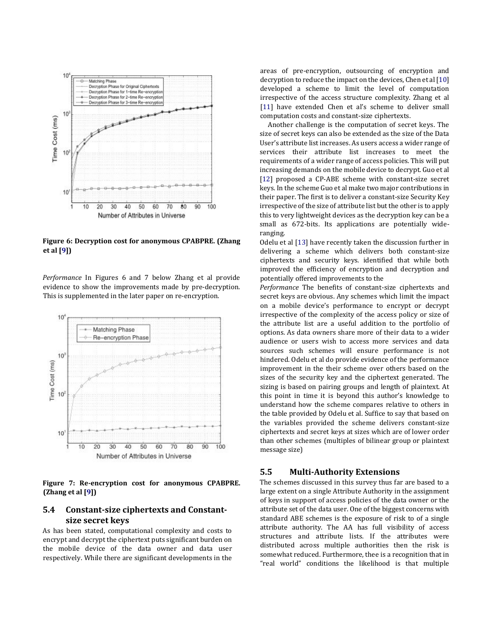

**Figure 6: Decryption cost for anonymous CPABPRE. (Zhang et al [9])**

*Performance* In Figures 6 and 7 below Zhang et al provide evidence to show the improvements made by pre-decryption. This is supplemented in the later paper on re-encryption.



**Figure 7: Re-encryption cost for anonymous CPABPRE. (Zhang et al [9])**

# **5.4 Constant-size ciphertexts and Constantsize secret keys**

As has been stated, computational complexity and costs to encrypt and decrypt the ciphertext puts significant burden on the mobile device of the data owner and data user respectively. While there are significant developments in the areas of pre-encryption, outsourcing of encryption and decryption to reduce the impact on the devices, Chen et al [10] developed a scheme to limit the level of computation irrespective of the access structure complexity. Zhang et al [11] have extended Chen et al's scheme to deliver small computation costs and constant-size ciphertexts.

Another challenge is the computation of secret keys. The size of secret keys can also be extended as the size of the Data User's attribute list increases. As users access a wider range of services their attribute list increases to meet the requirements of a wider range of access policies. This will put increasing demands on the mobile device to decrypt. Guo et al [12] proposed a CP-ABE scheme with constant-size secret keys. In the scheme Guo et al make two major contributions in their paper. The first is to deliver a constant-size Security Key irrespective of the size of attribute list but the other is to apply this to very lightweight devices as the decryption key can be a small as 672-bits. Its applications are potentially wideranging.

Odelu et al [13] have recently taken the discussion further in delivering a scheme which delivers both constant-size ciphertexts and security keys. identified that while both improved the efficiency of encryption and decryption and potentially offered improvements to the

*Performance* The benefits of constant-size ciphertexts and secret keys are obvious. Any schemes which limit the impact on a mobile device's performance to encrypt or decrypt irrespective of the complexity of the access policy or size of the attribute list are a useful addition to the portfolio of options. As data owners share more of their data to a wider audience or users wish to access more services and data sources such schemes will ensure performance is not hindered. Odelu et al do provide evidence of the performance improvement in the their scheme over others based on the sizes of the security key and the ciphertext generated. The sizing is based on pairing groups and length of plaintext. At this point in time it is beyond this author's knowledge to understand how the scheme compares relative to others in the table provided by Odelu et al. Suffice to say that based on the variables provided the scheme delivers constant-size ciphertexts and secret keys at sizes which are of lower order than other schemes (multiples of bilinear group or plaintext message size)

#### **5.5 Multi-Authority Extensions**

The schemes discussed in this survey thus far are based to a large extent on a single Attribute Authority in the assignment of keys in support of access policies of the data owner or the attribute set of the data user. One of the biggest concerns with standard ABE schemes is the exposure of risk to of a single attribute authority. The AA has full visibility of access structures and attribute lists. If the attributes were distributed across multiple authorities then the risk is somewhat reduced. Furthermore, thee is a recognition that in "real world" conditions the likelihood is that multiple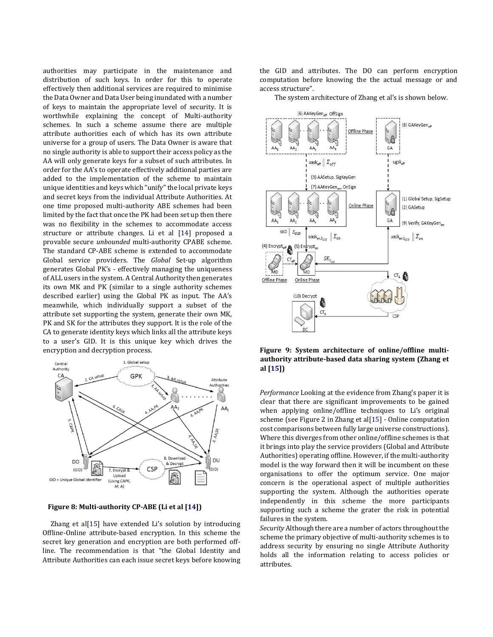authorities may participate in the maintenance and distribution of such keys. In order for this to operate effectively then additional services are required to minimise the Data Owner and Data User being inundated with a number of keys to maintain the appropriate level of security. It is worthwhile explaining the concept of Multi-authority schemes. In such a scheme assume there are multiple attribute authorities each of which has its own attribute universe for a group of users. The Data Owner is aware that no single authority is able to support their access policy as the AA will only generate keys for a subset of such attributes. In order for the AA's to operate effectively additional parties are added to the implementation of the scheme to maintain unique identities and keys which "unify" the local private keys and secret keys from the individual Attribute Authorities. At one time proposed multi-authority ABE schemes had been limited by the fact that once the PK had been set up then there was no flexibility in the schemes to accommodate access structure or attribute changes. Li et al [14] proposed a provable secure *unbounded* multi-authority CPABE scheme. The standard CP-ABE scheme is extended to accommodate Global service providers. The *Global* Set-up algorithm generates Global PK's - effectively managing the uniqueness of ALL users in the system. A Central Authority then generates its own MK and PK (similar to a single authority schemes described earlier) using the Global PK as input. The AA's meanwhile, which individually support a subset of the attribute set supporting the system, generate their own MK, PK and SK for the attributes they support. It is the role of the CA to generate identity keys which links all the attribute keys to a user's GID. It is this unique key which drives the encryption and decryption process.



**Figure 8: Multi-authority CP-ABE (Li et al [14])**

Zhang et al[15] have extended Li's solution by introducing Offline-Online attribute-based encryption. In this scheme the secret key generation and encryption are both performed offline. The recommendation is that "the Global Identity and Attribute Authorities can each issue secret keys before knowing the GID and attributes. The DO can perform encryption computation before knowing the the actual message or and access structure".

The system architecture of Zhang et al's is shown below.



**Figure 9: System architecture of online/offline multiauthority attribute-based data sharing system (Zhang et al [15])**

*Performance* Looking at the evidence from Zhang's paper it is clear that there are significant improvements to be gained when applying online/offline techniques to Li's original scheme (see Figure 2 in Zhang et al[15] - Online computation cost comparisons between fully large universe constructions). Where this diverges from other online/offline schemes is that it brings into play the service providers (Global and Attribute Authorities) operating offline. However, if the multi-authority model is the way forward then it will be incumbent on these organisations to offer the optimum service. One major concern is the operational aspect of multiple authorities supporting the system. Although the authorities operate independently in this scheme the more participants supporting such a scheme the grater the risk in potential failures in the system.

*Security* Although there are a number of actors throughout the scheme the primary objective of multi-authority schemes is to address security by ensuring no single Attribute Authority holds all the information relating to access policies or attributes.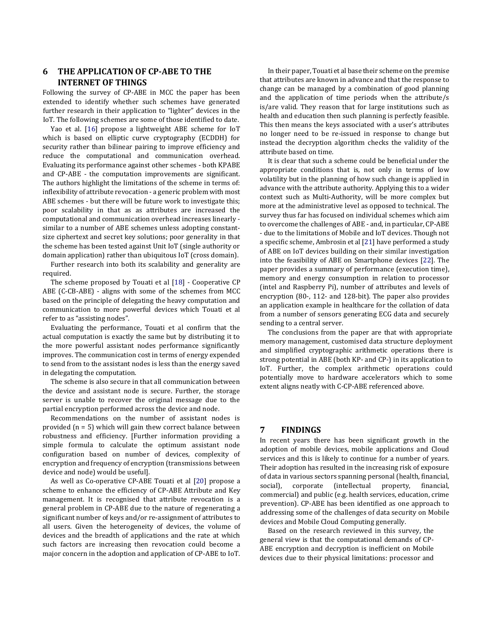# **6 THE APPLICATION OF CP-ABE TO THE INTERNET OF THINGS**

Following the survey of CP-ABE in MCC the paper has been extended to identify whether such schemes have generated further research in their application to "lighter" devices in the IoT. The following schemes are some of those identified to date.

Yao et al. [16] propose a lightweight ABE scheme for IoT which is based on elliptic curve cryptography (ECDDH) for security rather than bilinear pairing to improve efficiency and reduce the computational and communication overhead. Evaluating its performance against other schemes - both KPABE and CP-ABE - the computation improvements are significant. The authors highlight the limitations of the scheme in terms of: inflexibility of attribute revocation - a generic problem with most ABE schemes - but there will be future work to investigate this; poor scalability in that as as attributes are increased the computational and communication overhead increases linearly similar to a number of ABE schemes unless adopting constantsize ciphertext and secret key solutions; poor generality in that the scheme has been tested against Unit IoT (single authority or domain application) rather than ubiquitous IoT (cross domain).

Further research into both its scalability and generality are required.

The scheme proposed by Touati et al [18] - Cooperative CP ABE (C-CB-ABE) - aligns with some of the schemes from MCC based on the principle of delegating the heavy computation and communication to more powerful devices which Touati et al refer to as "assisting nodes".

Evaluating the performance, Touati et al confirm that the actual computation is exactly the same but by distributing it to the more powerful assistant nodes performance significantly improves. The communication cost in terms of energy expended to send from to the assistant nodes is less than the energy saved in delegating the computation.

The scheme is also secure in that all communication between the device and assistant node is secure. Further, the storage server is unable to recover the original message due to the partial encryption performed across the device and node.

Recommendations on the number of assistant nodes is provided (n = 5) which will gain thew correct balance between robustness and efficiency. [Further information providing a simple formula to calculate the optimum assistant node configuration based on number of devices, complexity of encryption and frequency of encryption (transmissions between device and node) would be useful].

As well as Co-operative CP-ABE Touati et al [20] propose a scheme to enhance the efficiency of CP-ABE Attribute and Key management. It is recognised that attribute revocation is a general problem in CP-ABE due to the nature of regenerating a significant number of keys and/or re-assignment of attributes to all users. Given the heterogeneity of devices, the volume of devices and the breadth of applications and the rate at which such factors are increasing then revocation could become a major concern in the adoption and application of CP-ABE to IoT.

In their paper, Touati et al base their scheme on the premise that attributes are known in advance and that the response to change can be managed by a combination of good planning and the application of time periods when the attribute/s is/are valid. They reason that for large institutions such as health and education then such planning is perfectly feasible. This then means the keys associated with a user's attributes no longer need to be re-issued in response to change but instead the decryption algorithm checks the validity of the attribute based on time.

It is clear that such a scheme could be beneficial under the appropriate conditions that is, not only in terms of low volatility but in the planning of how such change is applied in advance with the attribute authority. Applying this to a wider context such as Multi-Authority, will be more complex but more at the administrative level as opposed to technical. The survey thus far has focused on individual schemes which aim to overcome the challenges of ABE - and, in particular, CP-ABE - due to the limitations of Mobile and IoT devices. Though not a specific scheme, Ambrosin et al [21] have performed a study of ABE on IoT devices building on their similar investigation into the feasibility of ABE on Smartphone devices [22]. The paper provides a summary of performance (execution time), memory and energy consumption in relation to processor (intel and Raspberry Pi), number of attributes and levels of encryption (80-, 112- and 128-bit). The paper also provides an application example in healthcare for the collation of data from a number of sensors generating ECG data and securely sending to a central server.

The conclusions from the paper are that with appropriate memory management, customised data structure deployment and simplified cryptographic arithmetic operations there is strong potential in ABE (both KP- and CP-) in its application to IoT. Further, the complex arithmetic operations could potentially move to hardware accelerators which to some extent aligns neatly with C-CP-ABE referenced above.

#### **7 FINDINGS**

In recent years there has been significant growth in the adoption of mobile devices, mobile applications and Cloud services and this is likely to continue for a number of years. Their adoption has resulted in the increasing risk of exposure of data in various sectors spanning personal (health, financial, social), corporate (intellectual property, financial, commercial) and public (e.g. health services, education, crime prevention). CP-ABE has been identified as one approach to addressing some of the challenges of data security on Mobile devices and Mobile Cloud Computing generally.

Based on the research reviewed in this survey, the general view is that the computational demands of CP-ABE encryption and decryption is inefficient on Mobile devices due to their physical limitations: processor and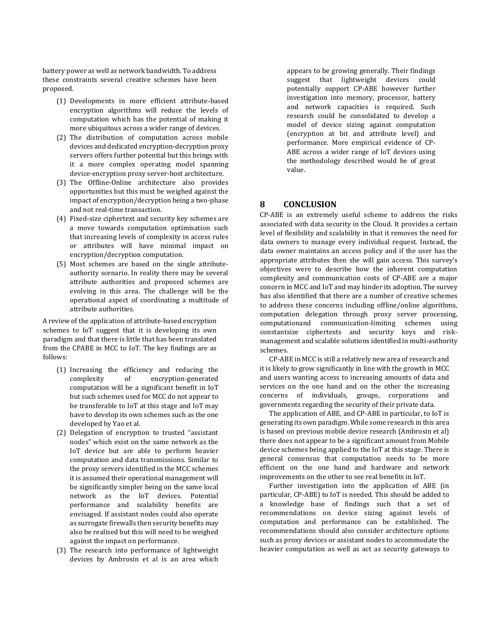battery power as well as network bandwidth. To address these constraints several creative schemes have been proposed.

- (1) Developments in more efficient attribute-based encryption algorithms will reduce the levels of computation which has the potential of making it more ubiquitous across a wider range of devices.
- (2) The distribution of computation across mobile devices and dedicated encryption-decryption proxy servers offers further potential but this brings with it a more complex operating model spanning device-encryption proxy server-host architecture.
- (3) The Offline-Online architecture also provides opportunities but this must be weighed against the impact of encryption/decryption being a two-phase and not real-time transaction.
- (4) Fixed-size ciphertext and security key schemes are a move towards computation optimisation such that increasing levels of complexity in access rules or attributes will have minimal impact on encryption/decryption computation.
- (5) Most schemes are based on the single attributeauthority scenario. In reality there may be several attribute authorities and proposed schemes are evolving in this area. The challenge will be the operational aspect of coordinating a multitude of attribute authorities.

A review of the application of attribute-based encryption schemes to IoT suggest that it is developing its own paradigm and that there is little that has been translated from the CPABE in MCC to IoT. The key findings are as follows:

- (1) Increasing the efficiency and reducing the complexity of encryption-generated computation will be a significant benefit in IoT but such schemes used for MCC do not appear to be transferable to IoT at this stage and IoT may have to develop its own schemes such as the one developed by Yao et al.
- (2) Delegation of encryption to trusted "assistant nodes" which exist on the same network as the IoT device but are able to perform heavier computation and data transmissions. Similar to the proxy servers identified in the MCC schemes it is assumed their operational management will be significantly simpler being on the same local network as the IoT devices. Potential performance and scalability benefits are envisaged. If assistant nodes could also operate as surrogate firewalls then security benefits may also be realised but this will need to be weighed against the impact on performance.
- (3) The research into performance of lightweight devices by Ambrosin et al is an area which

appears to be growing generally. Their findings suggest that lightweight devices could potentially support CP-ABE however further investigation into memory, processor, battery and network capacities is required. Such research could be consolidated to develop a model of device sizing against computation (encryption at bit and attribute level) and performance. More empirical evidence of CP-ABE across a wider range of IoT devices using the methodology described would be of great value.

## **8 CONCLUSION**

CP-ABE is an extremely useful scheme to address the risks associated with data security in the Cloud. It provides a certain level of flexibility and scalability in that it removes the need for data owners to manage every individual request. Instead, the data owner maintains an access policy and if the user has the appropriate attributes then she will gain access. This survey's objectives were to describe how the inherent computation complexity and communication costs of CP-ABE are a major concern in MCC and IoT and may hinder its adoption. The survey has also identified that there are a number of creative schemes to address these concerns including offline/online algorithms, computation delegation through proxy server processing, computationand communication-limiting schemes using constantsize ciphertexts and security keys and riskmanagement and scalable solutions identified in multi-authority schemes.

CP-ABE in MCC is still a relatively new area of research and it is likely to grow significantly in line with the growth in MCC and users wanting access to increasing amounts of data and services on the one hand and on the other the increasing concerns of individuals, groups, corporations and governments regarding the security of their private data.

The application of ABE, and CP-ABE in particular, to IoT is generating its own paradigm. While some research in this area is based on previous mobile device research (Ambrosin et al) there does not appear to be a significant amount from Mobile device schemes being applied to the IoT at this stage. There is general consensus that computation needs to be more efficient on the one hand and hardware and network improvements on the other to see real benefits in IoT.

Further investigation into the application of ABE (in particular, CP-ABE) to IoT is needed. This should be added to a knowledge base of findings such that a set of recommendations on device sizing against levels of computation and performance can be established. The recommendations should also consider architecture options such as proxy devices or assistant nodes to accommodate the heavier computation as well as act as security gateways to